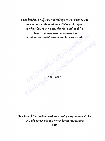การเปรียบเทียบความรู้ ความสามารถพื้นฐานทางวิทยาศาสตร์ และ ้ความสามารถในการคิดอย่างมีเหตุผลเชิงวิเคราะห์ กลุ่มสาระ การเรียนรู้วิทยาศาสตร์ ของนักเรียนชั้นมัธยมศึกษาปีที่ 1 ที่ได้รับการสอนตามแนวคิดคอนสตรักติวิสต์ Ribulsong Cara Hours (219) 2016 (2017) 31 แบบอินเตอร์แอกทีฟกับการสอนแบบสืบเสาะหาความรู้

วิทยานิพนธ์นี้เป็นส่วนหนึ่งของการศึกษาตามหลักสูตรครุศาสตรมหาบัณฑิต สาขาหลักสูตรและการสอน มหาวิทยาลัยราชภัฏพิบูลสงคราม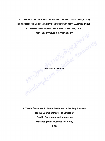## A COMPARISON OF BASIC SCIENTIFIC ABILITY AND ANALYTICAL **REASONING THINKING ABILITY IN SCIENCE OF MATHAYOM SUEKSA I** STUDENTS THROUGH INTERACTIVE CONSTRUCTIVIST **AND INQUIRY CYCLE APPROACHES** bhat drainersity

PibulsongKrassam Rassamee Noydee

A Thesis Submitted in Partial Fulfilment of the Requirements for the Degree of Master of Education **Field in Curriculum and Instruction Pibulsongkram Rajabhat University** 

2006